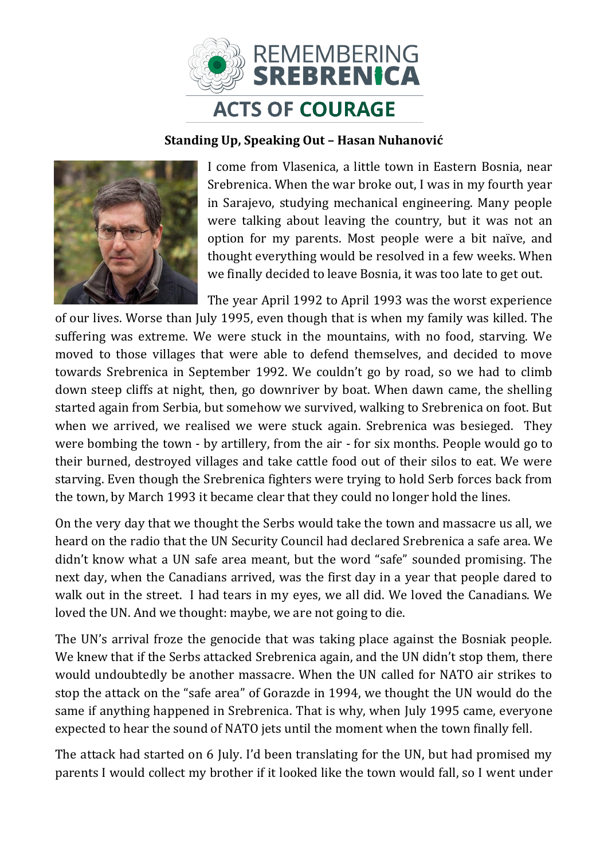

## **Standing Up, Speaking Out – Hasan Nuhanović**



I come from Vlasenica, a little town in Eastern Bosnia, near Srebrenica. When the war broke out, I was in my fourth year in Sarajevo, studying mechanical engineering. Many people were talking about leaving the country, but it was not an option for my parents. Most people were a bit naïve, and thought everything would be resolved in a few weeks. When we finally decided to leave Bosnia, it was too late to get out.

The year April 1992 to April 1993 was the worst experience of our lives. Worse than July 1995, even though that is when my family was killed. The suffering was extreme. We were stuck in the mountains, with no food, starving. We moved to those villages that were able to defend themselves, and decided to move towards Srebrenica in September 1992. We couldn't go by road, so we had to climb down steep cliffs at night, then, go downriver by boat. When dawn came, the shelling started again from Serbia, but somehow we survived, walking to Srebrenica on foot. But when we arrived, we realised we were stuck again. Srebrenica was besieged. They were bombing the town - by artillery, from the air - for six months. People would go to their burned, destroyed villages and take cattle food out of their silos to eat. We were starving. Even though the Srebrenica fighters were trying to hold Serb forces back from the town, by March 1993 it became clear that they could no longer hold the lines.

On the very day that we thought the Serbs would take the town and massacre us all, we heard on the radio that the UN Security Council had declared Srebrenica a safe area. We didn't know what a UN safe area meant, but the word "safe" sounded promising. The next day, when the Canadians arrived, was the first day in a year that people dared to walk out in the street. I had tears in my eyes, we all did. We loved the Canadians. We loved the UN. And we thought: maybe, we are not going to die.

The UN's arrival froze the genocide that was taking place against the Bosniak people. We knew that if the Serbs attacked Srebrenica again, and the UN didn't stop them, there would undoubtedly be another massacre. When the UN called for NATO air strikes to stop the attack on the "safe area" of Gorazde in 1994, we thought the UN would do the same if anything happened in Srebrenica. That is why, when July 1995 came, everyone expected to hear the sound of NATO jets until the moment when the town finally fell.

The attack had started on 6 July. I'd been translating for the UN, but had promised my parents I would collect my brother if it looked like the town would fall, so I went under